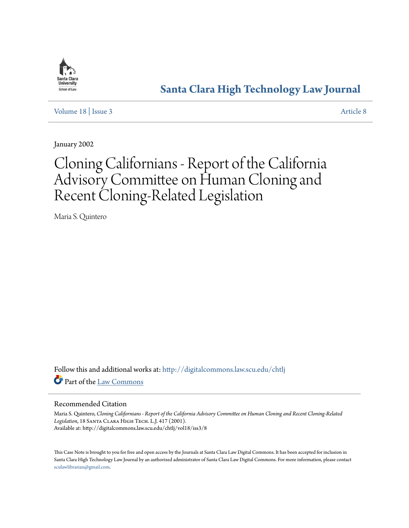

# **[Santa Clara High Technology Law Journal](http://digitalcommons.law.scu.edu/chtlj?utm_source=digitalcommons.law.scu.edu%2Fchtlj%2Fvol18%2Fiss3%2F8&utm_medium=PDF&utm_campaign=PDFCoverPages)**

[Volume 18](http://digitalcommons.law.scu.edu/chtlj/vol18?utm_source=digitalcommons.law.scu.edu%2Fchtlj%2Fvol18%2Fiss3%2F8&utm_medium=PDF&utm_campaign=PDFCoverPages) | [Issue 3](http://digitalcommons.law.scu.edu/chtlj/vol18/iss3?utm_source=digitalcommons.law.scu.edu%2Fchtlj%2Fvol18%2Fiss3%2F8&utm_medium=PDF&utm_campaign=PDFCoverPages) [Article 8](http://digitalcommons.law.scu.edu/chtlj/vol18/iss3/8?utm_source=digitalcommons.law.scu.edu%2Fchtlj%2Fvol18%2Fiss3%2F8&utm_medium=PDF&utm_campaign=PDFCoverPages)

January 2002

# Cloning Californians - Report of the California Advisory Committee on Human Cloning and Recent Cloning-Related Legislation

Maria S. Quintero

Follow this and additional works at: [http://digitalcommons.law.scu.edu/chtlj](http://digitalcommons.law.scu.edu/chtlj?utm_source=digitalcommons.law.scu.edu%2Fchtlj%2Fvol18%2Fiss3%2F8&utm_medium=PDF&utm_campaign=PDFCoverPages) Part of the [Law Commons](http://network.bepress.com/hgg/discipline/578?utm_source=digitalcommons.law.scu.edu%2Fchtlj%2Fvol18%2Fiss3%2F8&utm_medium=PDF&utm_campaign=PDFCoverPages)

### Recommended Citation

Maria S. Quintero, *Cloning Californians - Report of the California Advisory Committee on Human Cloning and Recent Cloning-Related Legislation*, 18 Santa Clara High Tech. L.J. 417 (2001). Available at: http://digitalcommons.law.scu.edu/chtlj/vol18/iss3/8

This Case Note is brought to you for free and open access by the Journals at Santa Clara Law Digital Commons. It has been accepted for inclusion in Santa Clara High Technology Law Journal by an authorized administrator of Santa Clara Law Digital Commons. For more information, please contact [sculawlibrarian@gmail.com](mailto:sculawlibrarian@gmail.com).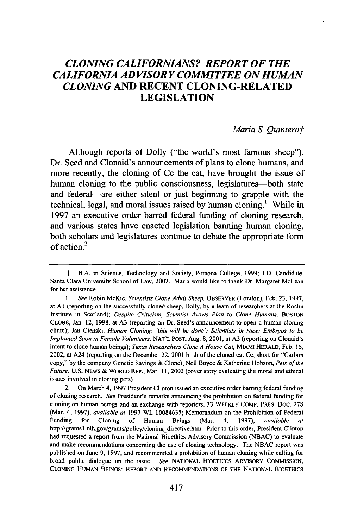# *CLONING CALIFORNIANS? REPORT OF THE CALIFORNIA ADVISORY COMMITTEE ON HUMAN CLONING* **AND RECENT CLONING-RELATED LEGISLATION**

#### *Maria S. Quinterot*

Although reports of Dolly ("the world's most famous sheep"), Dr. Seed and Clonaid's announcements of plans to clone humans, and more recently, the cloning of Cc the cat, have brought the issue of human cloning to the public consciousness, legislatures—both state and federal—are either silent or just beginning to grapple with the technical, legal, and moral issues raised **by** human cloning.' While in **1997** an executive order barred federal funding of cloning research, and various states have enacted legislation banning human cloning, both scholars and legislatures continue to debate the appropriate form of action.<sup>2</sup>

**f** B.A. in Science, Technology and Society, Pomona College, 1999; J.D. Candidate, Santa Clara University School of Law, 2002. Maria would like to thank Dr. Margaret McLean for her assistance.

*<sup>1.</sup> See* Robin McKie, *Scientists Clone Adult Sheep,* OBSERVER (London), Feb. 23, 1997, at **AI** (reporting on the successfully cloned sheep, Dolly, by a team of researchers at the Roslin Institute in Scotland); *Despite Criticism, Scientist Avows Plan to Clone Humans,* BOSTON GLOBE, Jan. 12, 1998, at A3 (reporting on Dr. Seed's announcement to open a human cloning clinic); Jan Cienski, *Human Cloning: 'this will be done': Scientists in race: Embryos to be Implanted Soon in Female Volunteers,* NAT'L POST, Aug. 8, 2001, at A3 (reporting on Clonaid's intent to clone human beings); *Texas Researchers Clone A House Cat,* MIAMI HERALD, Feb. 15, 2002, at A24 (reporting on the December 22, 2001 birth of the cloned cat Cc, short for "Carbon copy," by the company Genetic Savings & Clone); Nell Boyce & Katherine Hobson, *Pets of the Future,* U.S. NEWS & WORLD REP., Mar. 11, 2002 (cover story evaluating the moral and ethical issues involved in cloning pets).

<sup>2.</sup> On March 4, 1997 President Clinton issued an executive order barring federal funding of cloning research. *See* President's remarks announcing the prohibition on federal funding for cloning on human beings and an exchange with reporters, **33** WEEKLY COMP. PRES. DOC. 278 (Mar. 4, 1997), *available at* 1997 WL 10084635; Memorandum on the Prohibition of Federal Funding for Cloning of Human Beings (Mar. 4, 1997), *available at* http://grantsl.nih.gov/grants/policy/cloning directive.htm. Prior to this order, President Clinton had requested a report from the National Bioethics Advisory Commission (NBAC) to evaluate and make recommendations concerning the use of cloning technology. The NBAC report was published on June 9, 1997, and recommended a prohibition of human cloning while calling for broad public dialogue on the issue. *See* NATIONAL BIOETHICS ADVISORY COMMISSION, CLONING HUMAN BEINGS: REPORT AND RECOMMENDATIONS OF THE NATIONAL BIOETHICS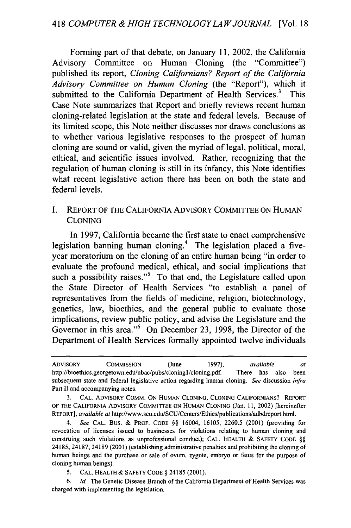Forming part of that debate, on January 11, 2002, the California Advisory Committee on Human Cloning (the "Committee") published its report, *Cloning Californians? Report of the California Advisory Committee on Human Cloning* (the "Report"), which it submitted to the California Department of Health Services.<sup>3</sup> This Case Note summarizes that Report and briefly reviews recent human cloning-related legislation at the state and federal levels. Because of its limited scope, this Note neither discusses nor draws conclusions as to whether various legislative responses to the prospect of human cloning are sound or valid, given the myriad of legal, political, moral, ethical, and scientific issues involved. Rather, recognizing that the regulation of human cloning is still in its infancy, this Note identifies what recent legislative action there has been on both the state and federal levels.

# I. REPORT OF THE CALIFORNIA ADVISORY COMMITTEE ON HUMAN CLONING

In 1997, California became the first state to enact comprehensive legislation banning human cloning.<sup>4</sup> The legislation placed a fiveyear moratorium on the cloning of an entire human being "in order to evaluate the profound medical, ethical, and social implications that such a possibility raises."<sup>5</sup> To that end, the Legislature called upon the State Director of Health Services "to establish a panel of representatives from the fields of medicine, religion, biotechnology, genetics, law, bioethics, and the general public to evaluate those implications, review public policy, and advise the Legislature and the Governor in this area."<sup>6</sup> On December 23, 1998, the Director of the Department of Health Services formally appointed twelve individuals

ADVISORY COMMISSION (June 1997), *available at* http://bioethics.georgetown.edu/nbac/pubs/cloningl/cloning.pdf. There has also been subsequent state and federal legislative action regarding human cloning. *See* discussion *infra* Part II and accompanying notes.

**<sup>3.</sup>** CAL. ADVISORY COMM. ON HUMAN CLONING, CLONING CALIFORNIANS? REPORT OF THE CALIFORNIA ADVISORY COMMITTEE ON HUMAN CLONING (Jan. 11, 2002) [hereinafter REPORT], *available at* http://www.scu.edu/SCU/Centers/Ethics/publications/adbdreport.html.

*<sup>4.</sup> See* CAL. Bus. & PROF. CODE §§ 16004, 16105, 2260.5 (2001) (providing for revocation of licenses issued to businesses for violations relating to human cloning and construing such violations as unprofessional conduct); CAL. HEALTH & SAFETY CODE §§ 24185, 24187, 24189 (2001) (establishing administrative penalties and prohibiting the cloning of human beings and the purchase or sale of ovum, zygote, embryo or fetus for the purpose of cloning human beings).

<sup>5.</sup> CAL. HEALTH& SAFETY CODE § 24185 (2001).

<sup>6.</sup> *Id.* The Genetic Disease Branch of the California Department of Health Services was charged with implementing the legislation.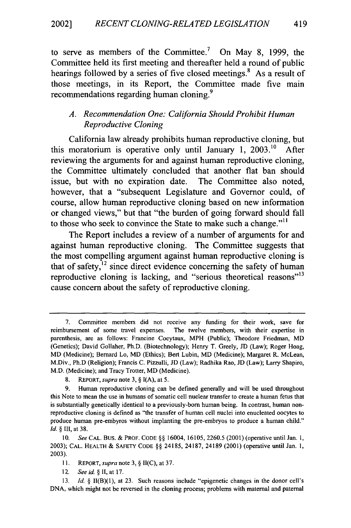to serve as members of the Committee.<sup>7</sup> On May 8, 1999, the Committee held its first meeting and thereafter held a round of public hearings followed by a series of five closed meetings.<sup>8</sup> As a result of those meetings, in its Report, the Committee made five main recommendations regarding human cloning.<sup>9</sup>

## *A. Recommendation One: California Should Prohibit Human Reproductive Cloning*

California law already prohibits human reproductive cloning, but this moratorium is operative only until January 1, 2003.<sup>10</sup> After reviewing the arguments for and against human reproductive cloning, the Committee ultimately concluded that another flat ban should issue, but with no expiration date. The Committee also noted, however, that a "subsequent Legislature and Governor could, of course, allow human reproductive cloning based on new information or changed views," but that "the burden of going forward should fall to those who seek to convince the State to make such a change."'I

The Report includes a review of a number of arguments for and against human reproductive cloning. The Committee suggests that the most compelling argument against human reproductive cloning is that of safety, $12$  since direct evidence concerning the safety of human reproductive cloning is lacking, and "serious theoretical reasons"<sup>13</sup> cause concern about the safety of reproductive cloning.

13. *Id. §* II(B)(1), at 23. Such reasons include "epigenetic changes in the donor cell's DNA, which might not be reversed in the cloning process; problems with maternal and paternal

<sup>7.</sup> Committee members did not receive any funding for their work, save for reimbursement of some travel expenses. The twelve members, with their expertise in parenthesis, are as follows: Francine Coeytaux, MPH (Public); Theodore Friedman, MD (Genetics); David Gollaher, Ph.D. (Biotechnology); Henry T. Greely, JD (Law); Roger Hoag, MD (Medicine); Bernard Lo, MD (Ethics); Bert Lubin, MD (Medicine); Margaret R. McLean, M.Div., Ph.D (Religion); Francis C. Pizzulli, JD (Law); Radhika Rao, JD (Law); Larry Shapiro, M.D. (Medicine); and Tracy Trotter, MD (Medicine).

<sup>8.</sup> REPORT, *supra* note 3, § I(A), at 5.

<sup>9.</sup> Human reproductive cloning can be defined generally and will be used throughout this Note to mean the use in humans of somatic cell nuclear transfer to create a human fetus that is substantially genetically identical to a previously-born human being. In contrast, human nonreproductive cloning is defined as "the transfer of human cell nuclei into enucleated oocytes to produce human pre-embyros without implanting the pre-embryos to produce a human child." *Id. §* Ill, at 38.

<sup>10.</sup> *See* CAL. Bus. & PROF. CODE §§ 16004, 16105, 2260.5 (2001) (operative until Jan. 1, 2003); **CAL.** HEALTH & SAFETY **CODE** §§ 24185, 24187, 24189 (2001) (operative until Jan. 1, 2003).

**<sup>11.</sup>** REPORT, *supra* note 3, § II(C), at 37.

<sup>12.</sup> *See* id. *§* II, at **17.**

<sup>419</sup>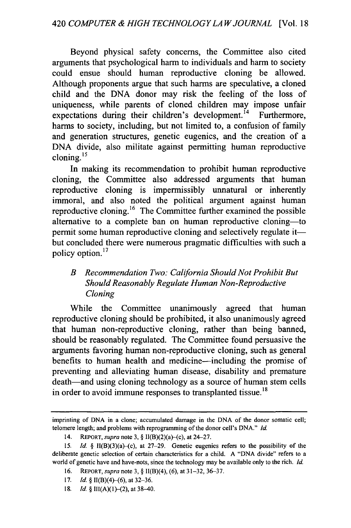Beyond physical safety concerns, the Committee also cited arguments that psychological harm to individuals and harm to society could ensue should human reproductive cloning be allowed. Although proponents argue that such harms are speculative, a cloned child and the DNA donor may risk the feeling of the loss of uniqueness, while parents of cloned children may impose unfair expectations during their children's development.<sup>14</sup> Furthermore, harms to society, including, but not limited to, a confusion of family and generation structures, genetic eugenics, and the creation of a DNA divide, also militate against permitting human reproductive  $2.44 \text{ cm}$ <br>cloning.<sup>15</sup>

In making its recommendation to prohibit human reproductive cloning, the Committee also addressed arguments that human reproductive cloning is impermissibly unnatural or inherently immoral, and also noted the political argument against human reproductive cloning. 16 The Committee further examined the possible alternative to a complete ban on human reproductive cloning-to permit some human reproductive cloning and selectively regulate it but concluded there were numerous pragmatic difficulties with such a policy option. **<sup>17</sup>**

# *B Recommendation Two: California Should Not Prohibit But Should Reasonably Regulate Human Non-Reproductive Cloning*

While the Committee unanimously agreed that human reproductive cloning should be prohibited, it also unanimously agreed that human non-reproductive cloning, rather than being banned, should be reasonably regulated. The Committee found persuasive the arguments favoring human non-reproductive cloning, such as general benefits to human health and medicine-including the promise of preventing and alleviating human disease, disability and premature death—and using cloning technology as a source of human stem cells in order to avoid immune responses to transplanted tissue.<sup>18</sup>

18. *Id. §* III(A)(l)-(2), at 38-40.

imprinting of DNA in a clone; accumulated damage in the DNA of the donor somatic cell; telomere length; and problems with reprogramming of the donor cell's DNA." *Id.*

<sup>14.</sup> REPORT, *supra* note 3, § II(B)(2)(a)-(c), at 24-27.

*<sup>15.</sup> Id.* § lI(B)(3)(a)-(c), at 27-29. Genetic eugenics refers to the possibility of the deliberate genetic selection of certain characteristics for a child. A "DNA divide" refers to a world of genetic have and have-nots, since the technology may be available only to the rich. *Id.*

<sup>16.</sup> REPORT, *supra* note 3, § 1l(B)(4), (6), at 31-32, 36-37.

<sup>17.</sup> *Id.* § II(B)(4)-(6), at 32-36.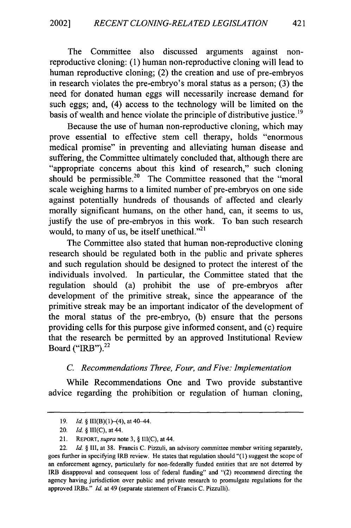The Committee also discussed arguments against nonreproductive cloning: (1) human non-reproductive cloning will lead to human reproductive cloning; (2) the creation and use of pre-embryos in research violates the pre-embryo's moral status as a person; (3) the need for donated human eggs will necessarily increase demand for such eggs; and, (4) access to the technology will be limited on the basis of wealth and hence violate the principle of distributive justice.<sup>19</sup>

Because the use of human non-reproductive cloning, which may prove essential to effective stem cell therapy, holds "enormous medical promise" in preventing and alleviating human disease and suffering, the Committee ultimately concluded that, although there are "appropriate concerns about this kind of research," such cloning should be permissible.<sup>20</sup> The Committee reasoned that the "moral scale weighing harms to a limited number of pre-embryos on one side against potentially hundreds of thousands of affected and clearly morally significant humans, on the other hand, can, it seems to us, justify the use of pre-embryos in this work. To ban such research would, to many of us, be itself unethical. $^{21}$ 

The Committee also stated that human non-reproductive cloning research should be regulated both in the public and private spheres and such regulation should be designed to protect the interest of the individuals involved. In particular, the Committee stated that the regulation should (a) prohibit the use of pre-embryos after development of the primitive streak, since the appearance of the primitive streak may be an important indicator of the development of the moral status of the pre-embryo, (b) ensure that the persons providing cells for this purpose give informed consent, and (c) require that the research be permitted by an approved Institutional Review Board ("IRB"). <sup>22</sup>

#### *C. Recommendations Three, Four, and Five: Implementation*

While Recommendations One and Two provide substantive advice regarding the prohibition or regulation of human cloning,

<sup>19.</sup> *Id. §* II1(B)(1)-(4), at 40-44.

<sup>20.</sup> *Id. §* Il1(C), at 44.

<sup>21.</sup> REPORT, supra note 3, *§* Il(C), at 44.

<sup>22.</sup> *Id. §* Ii, at 38. Francis C. Pizzuli, an advisory committee member writing separately, goes further in specifying IRB review. He states that regulation should "(1) suggest the scope of an enforcement agency, particularly for non-federally funded entities that are not deterred by IRB disapproval and consequent loss of federal funding" and "(2) recommend directing the agency having jurisdiction over public and private research to promulgate regulations for the approved IRBs." *Id.* at 49 (separate statement of Francis C. Pizzulli).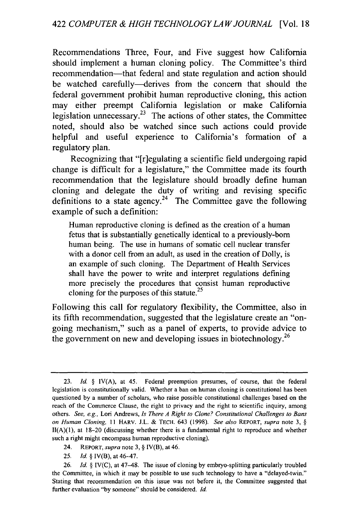Recommendations Three, Four, and Five suggest how California should implement a human cloning policy. The Committee's third recommendation—that federal and state regulation and action should be watched carefully—derives from the concern that should the federal government prohibit human reproductive cloning, this action may either preempt California legislation or make California legislation unnecessary.<sup>23</sup> The actions of other states, the Committee noted, should also be watched since such actions could provide helpful and useful experience to California's formation of a regulatory plan.

Recognizing that "[r]egulating a scientific field undergoing rapid change is difficult for a legislature," the Committee made its fourth recommendation that the legislature should broadly define human cloning and delegate the duty of writing and revising specific definitions to a state agency.<sup>24</sup> The Committee gave the following example of such a definition:

Human reproductive cloning is defined as the creation of a human fetus that is substantially genetically identical to a previously-bom human being. The use in humans of somatic cell nuclear transfer with a donor cell from an adult, as used in the creation of Dolly, is an example of such cloning. The Department of Health Services shall have the power to write and interpret regulations defining more precisely the procedures that consist human reproductive cloning for the purposes of this statute.<sup>25</sup>

Following this call for regulatory flexibility, the Committee, also in its fifth recommendation, suggested that the legislature create an "ongoing mechanism," such as a panel of experts, to provide advice to the government on new and developing issues in biotechnology.<sup>26</sup>

- 24. REPORT, *supra* note 3, § IV(B), at 46.
- 25. *Id.* § IV(B), at 46-47.

<sup>23.</sup> *Id. §* IV(A), at 45. Federal preemption presumes, of course, that the federal legislation is constitutionally valid. Whether a ban on human cloning is constitutional has been questioned by a number of scholars, who raise possible constitutional challenges based on the reach of the Commerce Clause, the right to privacy and the right to scientific inquiry, among others. *See, e.g.,* Lori Andrews, *Is There A Right to Clone? Constitutional Challenges to Bans on Human Cloning,* 11 HARV. J.L. & **TECH.** 643 (1998). *See also* REPORT, *supra* note 3, §  $II(A)(1)$ , at 18-20 (discussing whether there is a fundamental right to reproduce and whether such a right might encompass human reproductive cloning).

<sup>26.</sup> *Id. §* IV(C), at 47-48. The issue of cloning by embryo-splitting particularly troubled the Committee, in which it may be possible to use such technology to have a "delayed-twin." Stating that recommendation on this issue was not before it, the Committee suggested that further evaluation "by someone" should be considered. *Id.*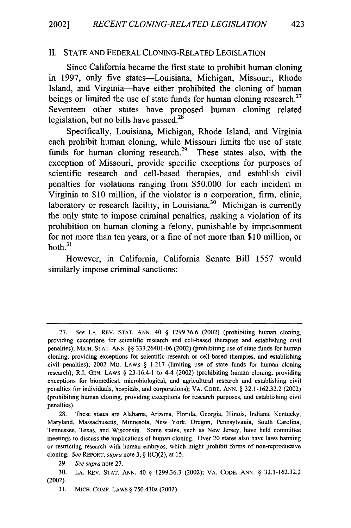#### II. STATE AND FEDERAL CLONING-RELATED LEGISLATION

Since California became the first state to prohibit human cloning in 1997, only five states-Louisiana, Michigan, Missouri, Rhode Island, and Virginia-have either prohibited the cloning of human beings or limited the use of state funds for human cloning research.<sup>27</sup> Seventeen other states have proposed human cloning related legislation, but no bills have passed. $^{28}$ 

Specifically, Louisiana, Michigan, Rhode Island, and Virginia each prohibit human cloning, while Missouri limits the use of state funds for human cloning research.<sup>29</sup> These states also, with the exception of Missouri, provide specific exceptions for purposes of scientific research and cell-based therapies, and establish civil penalties for violations ranging from \$50,000 for each incident in Virginia to \$10 million, if the violator is a corporation, firm, clinic, laboratory or research facility, in Louisiana.<sup>30</sup> Michigan is currently the only state to impose criminal penalties, making a violation of its prohibition on human cloning a felony, punishable by imprisonment for not more than ten years, or a fine of not more than \$10 million, or  $both.<sup>31</sup>$ 

However, in California, California Senate Bill 1557 would similarly impose criminal sanctions:

<sup>27.</sup> *See* **LA.** REV. **STAT. ANN.** 40 § 1299.36.6 (2002) (prohibiting human cloning, providing exceptions for scientific research and cell-based therapies and establishing civil penalties); MICH. STAT. ANN. §§ 333.26401-06 (2002) (prohibiting use of state funds for human cloning, providing exceptions for scientific research or cell-based therapies, and establishing civil penalties); 2002 Mo. LAWS § 1.217 (limiting use of state funds for human cloning research); R.I. GEN. LAWS § 23-16.4-1 to 4-4 (2002) (prohibiting human cloning, providing exceptions for biomedical, microbiological, and agricultural research and establishing civil penalties for individuals, hospitals, and corporations); VA. CODE. ANN. § 32.1-162.32.2 (2002) (prohibiting human cloning, providing exceptions for research purposes, and establishing civil penalties).

<sup>28.</sup> These states are Alabama, Arizona, Florida, Georgia, Illinois, Indiana, Kentucky, Maryland, Massachusetts, Minnesota, New York, Oregon, Pennsylvania, South Carolina, Tennessee, Texas, and Wisconsin. Some states, such as New Jersey, have held committee meetings to discuss the implications of human cloning. Over 20 states also have laws banning or restricting research with human embryos, which might prohibit forms of non-reproductive cloning. *See* REPORT, *supra* note 3, § I(C)(2), at 15.

<sup>29.</sup> *See supra* note 27.

<sup>30.</sup> LA. REV. **STAT.** ANN. 40 § 1299.36.3 (2002); VA. CODE. ANN. § 32.1-162.32.2 (2002).

<sup>31.</sup> MICH. COMP. LAWS § 750.430a (2002).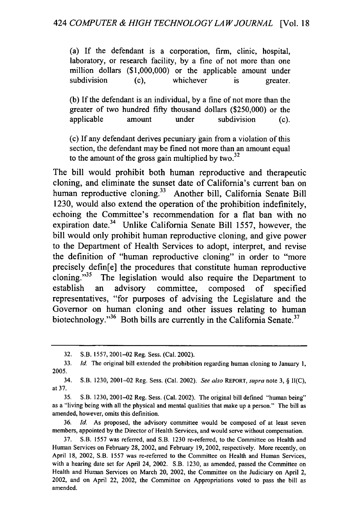(a) **If** the defendant is a corporation, firm, clinic, hospital, laboratory, or research facility, **by** a fine of not more than one million dollars **(\$1,000,000)** or the applicable amount under subdivision (c), whichever is greater.

**(b) If** the defendant is an individual, **by** a fine of not more than the greater of two hundred **fifty** thousand dollars **(\$250,000)** or the applicable amount under subdivision **(c).**

(c) **If** any defendant derives pecuniary gain from a violation of this section, the defendant may be fined not more than an amount equal to the amount of the gross gain multiplied **by two. <sup>32</sup>**

The bill would prohibit both human reproductive and therapeutic cloning, and eliminate the sunset date of California's current ban on human reproductive cloning.<sup>33</sup> Another bill, California Senate Bill **1230,** would also extend the operation of the prohibition indefinitely, echoing the Committee's recommendation for a flat ban with no expiration date.34 Unlike California Senate Bill **1557,** however, the bill would only prohibit human reproductive cloning, and give power to the Department of Health Services to adopt, interpret, and revise the definition of "human reproductive cloning" in order to "more precisely defin[e] the procedures that constitute human reproductive cloning. $35$  The legislation would also require the Department to establish an advisory committee, composed of specified representatives, "for purposes of advising the Legislature and the Governor on human cloning and other issues relating to human biotechnology."<sup>36</sup> Both bills are currently in the California Senate.<sup>37</sup>

36. *Id.* As proposed, the advisory committee would be composed of at least seven members, appointed **by** the Director of Health Services, and would serve without compensation.

37. S.B. 1557 was referred, and S.B. 1230 re-referred, to the Committee on Health and Human Services on February 28, 2002, and February 19, 2002, respectively. More recently, on April 18, 2002, S.B. 1557 was re-referred to the Committee on Health and Human Services, with a hearing date set for April 24, 2002. S.B. 1230, as amended, passed the Committee on Health and Human Services on March 20, 2002, the Committee on the Judiciary on April 2, 2002, and on April 22, 2002, the Committee on Appropriations voted to pass the bill as amended.

<sup>32.</sup> S.B. 1557, 2001-02 Reg. Sess. (Cal. 2002).

<sup>33.</sup> *Id.* The original bill extended the prohibition regarding human cloning to January 1, 2005.

<sup>34.</sup> S.B. 1230, 2001-02 Reg. Sess. (Cal. 2002). *See also* REPORT, *supra* note 3, § II(C), at 37.

<sup>35.</sup> S.B. 1230, 2001-02 Reg. Sess. (Cal. 2002). The original bill defined "human being" as a "living being with all the physical and mental qualities that make up a person." The bill as amended, however, omits this definition.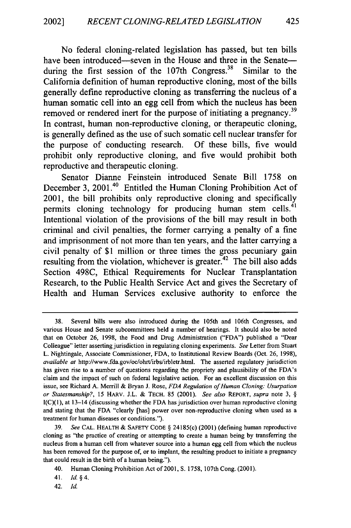No federal cloning-related legislation has passed, but ten bills have been introduced—seven in the House and three in the Senate during the first session of the  $107$ th Congress.<sup>38</sup> Similar to the California definition of human reproductive cloning, most of the bills generally define reproductive cloning as transferring the nucleus of a human somatic cell into an egg cell from which the nucleus has been removed or rendered inert for the purpose of initiating a pregnancy.<sup>39</sup> In contrast, human non-reproductive cloning, or therapeutic cloning, is generally defined as the use of such somatic cell nuclear transfer for the purpose of conducting research. Of these bills, five would prohibit only reproductive cloning, and five would prohibit both reproductive and therapeutic cloning.

Senator Dianne Feinstein introduced Senate Bill 1758 on December 3, 2001.<sup>40</sup> Entitled the Human Cloning Prohibition Act of 2001, the bill prohibits only reproductive cloning and specifically permits cloning technology for producing human stem cells.<sup>41</sup> Intentional violation of the provisions of the bill may result in both criminal and civil penalties, the former carrying a penalty of a fine and imprisonment of not more than ten years, and the latter carrying a civil penalty of \$1 million or three times the gross pecuniary gain resulting from the violation, whichever is greater.<sup>42</sup> The bill also adds Section 498C, Ethical Requirements for Nuclear Transplantation Research, to the Public Health Service Act and gives the Secretary of Health and Human Services exclusive authority to enforce the

<sup>38.</sup> Several bills were also introduced during the 105th and 106th Congresses, and various House and Senate subcommittees held a number of hearings. It should also be noted that on October 26, 1998, the Food and Drug Administration ("FDA") published a "Dear Colleague" letter asserting jurisdiction in regulating cloning experiments. *See* Letter from Stuart L. Nightingale, Associate Commissioner, FDA, to Institutional Review Boards (Oct. 26, 1998), *available at* http://www.fda.gov/oc/ohrt/irbs/irbletr.html. The asserted regulatory jurisdiction has given rise to a number of questions regarding the propriety and plausibility of the FDA's claim and the impact of such on federal legislative action. For an excellent discussion on this issue, see Richard A. Merrill & Bryan J. Rose, *FDA Regulation of Human Cloning: Usurpation or Statesmanship?,* 15 HARV. J.L. & TECH. 85 (2001). *See also* REPORT, *supra* note 3, § I(C)(1), at 13-14 (discussing whether the FDA has jurisdiction over human reproductive cloning and stating that the FDA "clearly [has] power over non-reproductive cloning when used as a treatment for human diseases or conditions.").

<sup>39.</sup> *See* CAL. HEALTH & SAFETY CODE § 24185(c) (2001) (defining human reproductive cloning as "the practice of creating or attempting to create a human being by transferring the nucleus from a human cell from whatever source into a human egg cell from which the nucleus has been removed for the purpose of, or to implant, the resulting product to initiate a pregnancy that could result in the birth of a human being.").

<sup>40.</sup> Human Cloning Prohibition Act of 2001, **S.** 1758, 107th Cong. (2001).

<sup>41.</sup> *Id. §4.*

<sup>42.</sup> **Id.**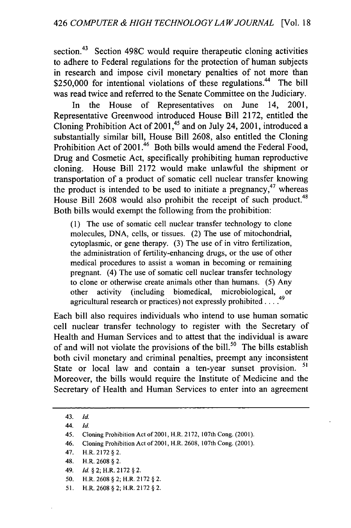section.<sup>43</sup> Section 498C would require therapeutic cloning activities to adhere to Federal regulations for the protection of human subjects in research and impose civil monetary penalties of not more than  $$250,000$  for intentional violations of these regulations.<sup>44</sup> The bill was read twice and referred to the Senate Committee on the Judiciary.

In the House of Representatives on June 14, 2001, Representative Greenwood introduced House Bill 2172, entitled the Cloning Prohibition Act of  $2001<sup>45</sup>$  and on July 24, 2001, introduced a substantially similar bill, House Bill 2608, also entitled the Cloning Prohibition Act of 2001.<sup>46</sup> Both bills would amend the Federal Food, Drug and Cosmetic Act, specifically prohibiting human reproductive cloning. House Bill 2172 would make unlawful the shipment or transportation of a product of somatic cell nuclear transfer knowing the product is intended to be used to initiate a pregnancy,  $47$  whereas House Bill 2608 would also prohibit the receipt of such product.<sup>48</sup> Both bills would exempt the following from the prohibition:

(1) The use of somatic cell nuclear transfer technology to clone molecules, DNA, cells, or tissues. (2) The use of mitochondrial, cytoplasmic, or gene therapy. (3) The use of in vitro fertilization, the administration of fertility-enhancing drugs, or the use of other medical procedures to assist a woman in becoming or remaining pregnant. (4) The use of somatic cell nuclear transfer technology to clone or otherwise create animals other than humans. (5) Any other activity (including biomedical, microbiological, or agricultural research or practices) not expressly prohibited ....

Each bill also requires individuals who intend to use human somatic cell nuclear transfer technology to register with the Secretary of Health and Human Services and to attest that the individual is aware of and will not violate the provisions of the bill.<sup>50</sup> The bills establish both civil monetary and criminal penalties, preempt any inconsistent State or local law and contain a ten-year sunset provision. Moreover, the bills would require the Institute of Medicine and the Secretary of Health and Human Services to enter into an agreement

- 48. H.R. 2608 § 2.
- 49. *Id. §* 2; H.R. 2172 *§* 2.
- 50. H.R. 2608 § 2; H.R. 2172 *§* 2.
- 51. H.R. 2608 § 2; H.R. 2172 § 2.

<sup>43.</sup> *Id.*

<sup>44.</sup> *Id.*

<sup>45.</sup> Cloning Prohibition Act of 2001, H.R. 2172, 107th Cong. (2001).

<sup>46.</sup> Cloning Prohibition Act of 2001, H.R. 2608, 107th Cong. (2001).

<sup>47.</sup> H.R. 2172 **§** 2.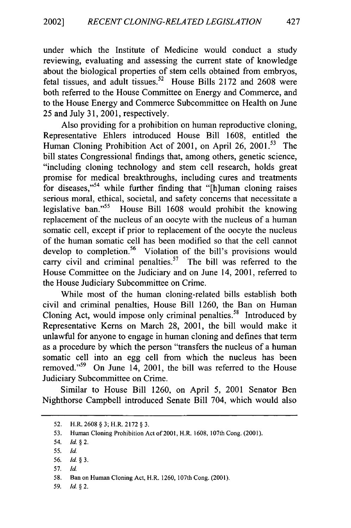under which the Institute of Medicine would conduct a study reviewing, evaluating and assessing the current state of knowledge about the biological properties of stem cells obtained from embryos, fetal tissues, and adult tissues.<sup>52</sup> House Bills 2172 and 2608 were both referred to the House Committee on Energy and Commerce, and to the House Energy and Commerce Subcommittee on Health on June 25 and July 31, 2001, respectively.

Also providing for a prohibition on human reproductive cloning, Representative Ehlers introduced House Bill 1608, entitled the Human Cloning Prohibition Act of 2001, on April 26, 2001.<sup>53</sup> The bill states Congressional findings that, among others, genetic science, "including cloning technology and stem cell research, holds great promise for medical breakthroughs, including cures and treatments for diseases,"<sup>54</sup> while further finding that "[h]uman cloning raises serious moral, ethical, societal, and safety concerns that necessitate a legislative ban."<sup>55</sup> House Bill 1608 would prohibit the knowing replacement of the nucleus of an oocyte with the nucleus of a human somatic cell, except if prior to replacement of the oocyte the nucleus of the human somatic cell has been modified so that the cell cannot develop to completion.<sup>56</sup> Violation of the bill's provisions would carry civil and criminal penalties.<sup>57</sup> The bill was referred to the House Committee on the Judiciary and on June 14, 2001, referred to the House Judiciary Subcommittee on Crime.

While most of the human cloning-related bills establish both civil and criminal penalties, House Bill 1260, the Ban on Human Cloning Act, would impose only criminal penalties.<sup>58</sup> Introduced by Representative Kems on March 28, 2001, the bill would make it unlawful for anyone to engage in human cloning and defines that term as a procedure by which the person "transfers the nucleus of a human somatic cell into an egg cell from which the nucleus has been removed."<sup>59</sup> On June 14, 2001, the bill was referred to the House Judiciary Subcommittee on Crime.

Similar to House Bill 1260, on April 5, 2001 Senator Ben Nighthorse Campbell introduced Senate Bill 704, which would also

57. Id.

59. Id. **§2.**

427

<sup>52.</sup> H.R. 2608 § 3; H.R. 2172 § 3.

<sup>53.</sup> Human Cloning Prohibition Act of 2001, H.R. 1608, 107th Cong. (2001).

<sup>54.</sup> *Id.* **§2.**

<sup>55.</sup> Id.

<sup>56.</sup> Id. *§3.*

<sup>58.</sup> Ban on Human Cloning Act, H.R. 1260, 107th Cong. (2001).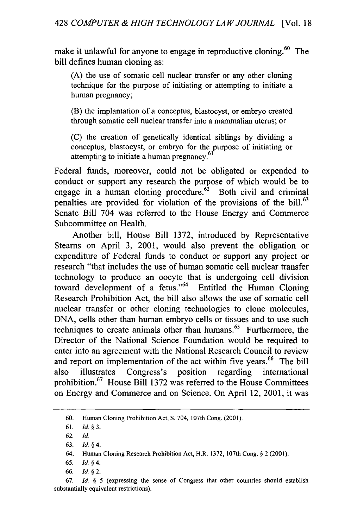make it unlawful for anyone to engage in reproductive cloning.<sup>60</sup> The bill defines human cloning as:

(A) the use of somatic cell nuclear transfer or any other cloning technique for the purpose of initiating or attempting to initiate a human pregnancy;

(B) the implantation of a conceptus, blastocyst, or embryo created through somatic cell nuclear transfer into a mammalian uterus; or

(C) the creation of genetically identical siblings by dividing a conceptus, blastocyst, or embryo for the purpose of initiating or attempting to initiate a human pregnancy.<sup>61</sup>

Federal funds, moreover, could not be obligated or expended to conduct or support any research the purpose of which would be to engage in a human cloning procedure.<sup> $62$ </sup> Both civil and criminal penalties are provided for violation of the provisions of the bill.<sup>63</sup> Senate Bill 704 was referred to the House Energy and Commerce Subcommittee on Health.

Another bill, House Bill 1372, introduced by Representative Steams on April 3, 2001, would also prevent the obligation or expenditure of Federal funds to conduct or support any project or research "that includes the use of human somatic cell nuclear transfer technology to produce an oocyte that is undergoing cell division toward development of a fetus." $64$  Entitled the Human Cloning Research Prohibition Act, the bill also allows the use of somatic cell nuclear transfer or other cloning technologies to clone molecules, DNA, cells other than human embryo cells or tissues and to use such techniques to create animals other than humans.<sup>65</sup> Furthermore, the Director of the National Science Foundation would be required to enter into an agreement with the National Research Council to review and report on implementation of the act within five years.<sup>66</sup> The bill also illustrates Congress's position regarding international prohibition.<sup>67</sup> House Bill 1372 was referred to the House Committees on Energy and Commerce and on Science. On April 12, 2001, it was

<sup>60.</sup> Human Cloning Prohibition Act, **S.** 704, 107th Cong. (2001).

<sup>61.</sup> **Id.** *§3.*

<sup>62.</sup> *Id.*

<sup>63.</sup> Id. *§4.*

<sup>64.</sup> Human Cloning Research Prohibition Act, H.R. 1372, 107th Cong. *§* 2 (2001).

<sup>65.</sup> **Id.** *§4.*

<sup>66.</sup> Id. *§2.*

<sup>67.</sup> Id. *§* 5 (expressing the sense of Congress that other countries should establish substantially equivalent restrictions).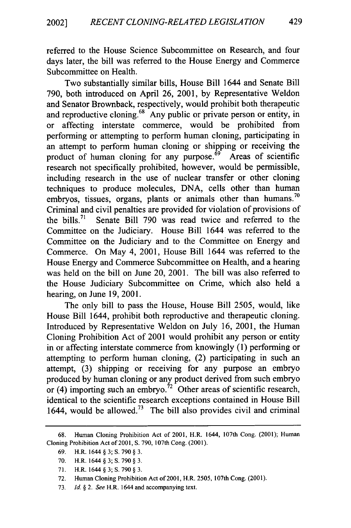referred to the House Science Subcommittee on Research, and four days later, the bill was referred to the House Energy and Commerce Subcommittee on Health.

Two substantially similar bills, House Bill 1644 and Senate Bill 790, both introduced on April 26, 2001, by Representative Weldon and Senator Brownback, respectively, would prohibit both therapeutic and reproductive cloning.<sup>68</sup> Any public or private person or entity, in affecting interstate commerce, would be prohibited from performing or attempting to perform human cloning, participating in an attempt to perform human cloning or shipping or receiving the product of human cloning for any purpose.<sup>69</sup> Areas of scientific research not specifically prohibited, however, would be permissible, including research in the use of nuclear transfer or other cloning techniques to produce molecules, DNA, cells other than human embryos, tissues, organs, plants or animals other than humans.<sup>70</sup> Criminal and civil penalties are provided for violation of provisions of the bills. 71 Senate Bill 790 was read twice and referred to the Committee on the Judiciary. House Bill 1644 was referred to the Committee on the Judiciary and to the Committee on Energy and Commerce. On May 4, 2001, House Bill 1644 was referred to the House Energy and Commerce Subcommittee on Health, and a hearing was held on the bill on June 20, 2001. The bill was also referred to the House Judiciary Subcommittee on Crime, which also held a hearing, on June 19, 2001.

The only bill to pass the House, House Bill 2505, would, like House Bill 1644, prohibit both reproductive and therapeutic cloning. Introduced by Representative Weldon on July 16, 2001, the Human Cloning Prohibition Act of 2001 would prohibit any person or entity in or affecting interstate commerce from knowingly (1) performing or attempting to perform human cloning, (2) participating in such an attempt, (3) shipping or receiving for any purpose an embryo produced by human cloning or any product derived from such embryo or (4) importing such an embryo.<sup>72</sup> Other areas of scientific research, identical to the scientific research exceptions contained in House Bill 1644, would be allowed.<sup>73</sup> The bill also provides civil and criminal

429

<sup>68.</sup> Human Cloning Prohibition Act of 2001, H.R. 1644, 107th Cong. (2001); Human Cloning Prohibition Act of 2001, **S.** 790, 107th Cong. (2001).

<sup>69.</sup> H.R. 1644 **§** 3; **S.** 790 **§** 3.

<sup>70.</sup> H.R. 1644 **§** 3; **S.** 790 **§** 3.

<sup>71.</sup> H.R. 1644 **§** 3; **S.** 790 **§** 3.

<sup>72.</sup> Human Cloning Prohibition Act of 2001, H.R. 2505, 107th Cong. (2001).

<sup>73.</sup> *Id. § 2. See* H.R. 1644 and accompanying text.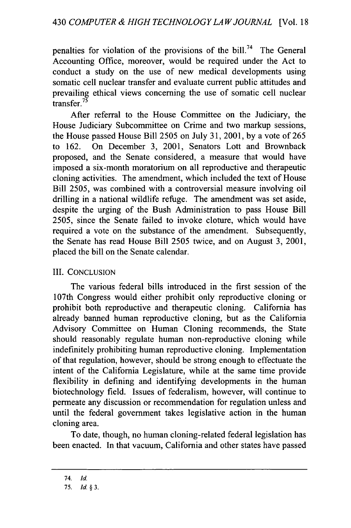penalties for violation of the provisions of the bill.<sup>74</sup> The General Accounting Office, moreover, would be required under the Act to conduct a study on the use of new medical developments using somatic cell nuclear transfer and evaluate current public attitudes and prevailing ethical views concerning the use of somatic cell nuclear transfer.<sup>75</sup>

After referral to the House Committee on the Judiciary, the House Judiciary Subcommittee on Crime and two markup sessions, the House passed House Bill 2505 on July 31, 2001, by a vote of 265 to 162. On December 3, 2001, Senators Lott and Brownback proposed, and the Senate considered, a measure that would have imposed a six-month moratorium on all reproductive and therapeutic cloning activities. The amendment, which included the text of House Bill 2505, was combined with a controversial measure involving oil drilling in a national wildlife refuge. The amendment was set aside, despite the urging of the Bush Administration to pass House Bill 2505, since the Senate failed to invoke cloture, which would have required a vote on the substance of the amendment. Subsequently, the Senate has read House Bill 2505 twice, and on August 3, 2001, placed the bill on the Senate calendar.

#### III. CONCLUSION

The various federal bills introduced in the first session of the 107th Congress would either prohibit only reproductive cloning or prohibit both reproductive and therapeutic cloning. California has already banned human reproductive cloning, but as the California Advisory Committee on Human Cloning recommends, the State should reasonably regulate human non-reproductive cloning while indefinitely prohibiting human reproductive cloning. Implementation of that regulation, however, should be strong enough to effectuate the intent of the California Legislature, while at the same time provide flexibility in defining and identifying developments in the human biotechnology field. Issues of federalism, however, will continue to permeate any discussion or recommendation for regulation unless and until the federal government takes legislative action in the human cloning area.

To date, though, no human cloning-related federal legislation has been enacted. In that vacuum, California and other states have passed

<sup>74.</sup> *Id.*

<sup>75.</sup> *Id. §3.*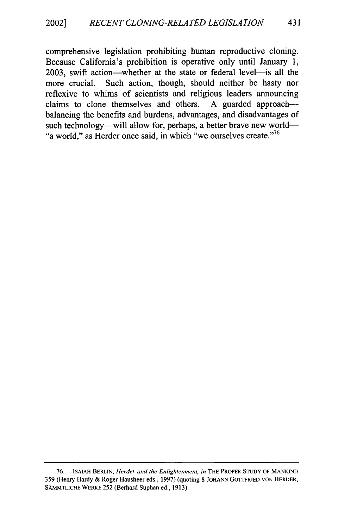comprehensive legislation prohibiting human reproductive cloning. Because California's prohibition is operative only until January 1, 2003, swift action—whether at the state or federal level—is all the more crucial. Such action, though, should neither be hasty nor reflexive to whims of scientists and religious leaders announcing claims to clone themselves and others. A guarded approach-balancing the benefits and burdens, advantages, and disadvantages of such technology-will allow for, perhaps, a better brave new world-"a world," as Herder once said, in which "we ourselves create."<sup>76</sup>

**<sup>76.</sup> ISAIAH** BERLIN, *Herder and the Enlightenment, in* **THE** PROPER **STUDY** OF **MANKIND** 359 (Henry Hardy & Roger Hausheer eds., 1997) (quoting 8 **JOHANN** GOTTFRIED VON HERDER, SAMMTLICHE WERKE 252 (Berhard Suphan ed., 1913).